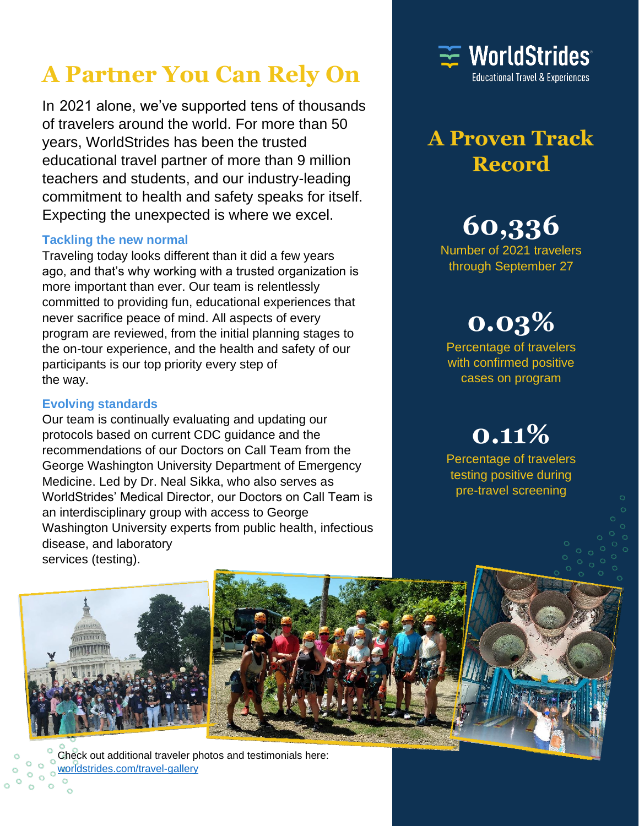### **A Partner You Can Rely On**

In 2021 alone, we've supported tens of thousands of travelers around the world. For more than 50 years, WorldStrides has been the trusted educational travel partner of more than 9 million teachers and students, and our industry-leading commitment to health and safety speaks for itself. Expecting the unexpected is where we excel.

#### **Tackling the new normal**

Traveling today looks different than it did a few years ago, and that's why working with a trusted organization is more important than ever. Our team is relentlessly committed to providing fun, educational experiences that never sacrifice peace of mind. All aspects of every program are reviewed, from the initial planning stages to the on-tour experience, and the health and safety of our participants is our top priority every step of the way.

#### **Evolving standards**

Our team is continually evaluating and updating our protocols based on current CDC guidance and the recommendations of our Doctors on Call Team from the George Washington University Department of Emergency Medicine. Led by Dr. Neal Sikka, who also serves as WorldStrides' Medical Director, our Doctors on Call Team is an interdisciplinary group with access to George Washington University experts from public health, infectious disease, and laboratory services (testing).



### **A Proven Track Record**

## **60,336**

Number of 2021 travelers through September 27

## **0.03%**

Percentage of travelers with confirmed positive cases on program

# **0.11%**

Percentage of travelers testing positive during pre-travel screening



Check out additional traveler photos and testimonials here: [worldstrides.com/travel-gallery](https://worldstrides.com/travel-gallery/)